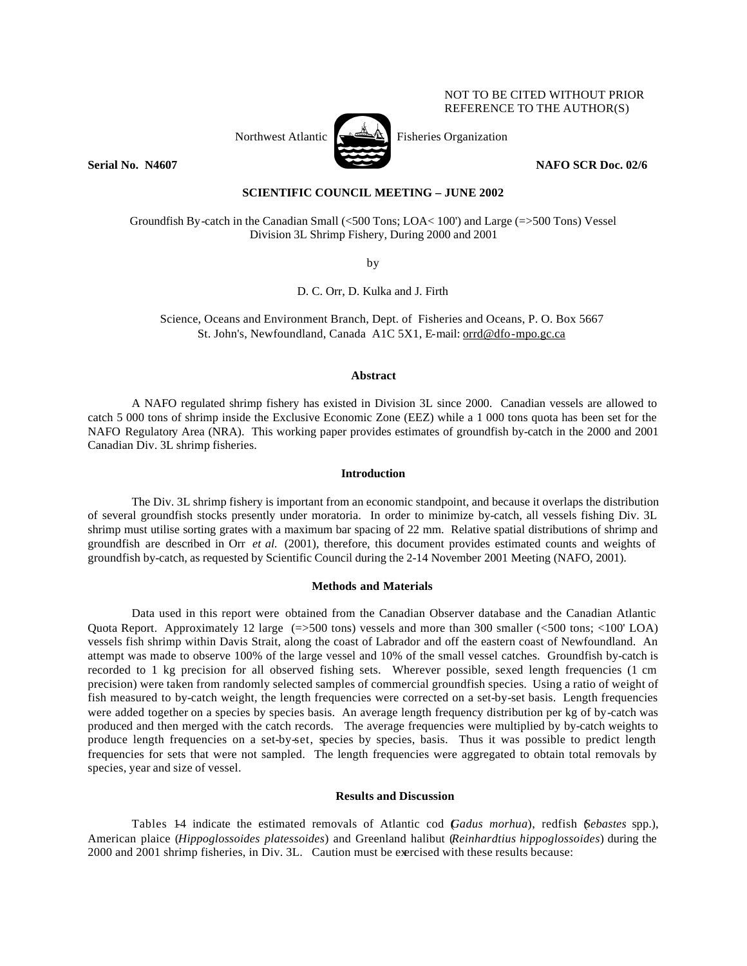# NOT TO BE CITED WITHOUT PRIOR REFERENCE TO THE AUTHOR(S)



**Serial No. N4607 NAFO SCR Doc. 02/6**

**SCIENTIFIC COUNCIL MEETING – JUNE 2002**

Groundfish By-catch in the Canadian Small (<500 Tons; LOA< 100') and Large (=>500 Tons) Vessel Division 3L Shrimp Fishery, During 2000 and 2001

by

D. C. Orr, D. Kulka and J. Firth

Science, Oceans and Environment Branch, Dept. of Fisheries and Oceans, P. O. Box 5667 St. John's, Newfoundland, Canada A1C 5X1, E-mail: orrd@dfo-mpo.gc.ca

### **Abstract**

A NAFO regulated shrimp fishery has existed in Division 3L since 2000. Canadian vessels are allowed to catch 5 000 tons of shrimp inside the Exclusive Economic Zone (EEZ) while a 1 000 tons quota has been set for the NAFO Regulatory Area (NRA). This working paper provides estimates of groundfish by-catch in the 2000 and 2001 Canadian Div. 3L shrimp fisheries.

## **Introduction**

The Div. 3L shrimp fishery is important from an economic standpoint, and because it overlaps the distribution of several groundfish stocks presently under moratoria. In order to minimize by-catch, all vessels fishing Div. 3L shrimp must utilise sorting grates with a maximum bar spacing of 22 mm. Relative spatial distributions of shrimp and groundfish are described in Orr *et al.* (2001), therefore, this document provides estimated counts and weights of groundfish by-catch, as requested by Scientific Council during the 2-14 November 2001 Meeting (NAFO, 2001).

#### **Methods and Materials**

Data used in this report were obtained from the Canadian Observer database and the Canadian Atlantic Quota Report. Approximately 12 large  $(=)500$  tons) vessels and more than 300 smaller  $(< 500$  tons;  $< 100'$  LOA) vessels fish shrimp within Davis Strait, along the coast of Labrador and off the eastern coast of Newfoundland. An attempt was made to observe 100% of the large vessel and 10% of the small vessel catches. Groundfish by-catch is recorded to 1 kg precision for all observed fishing sets. Wherever possible, sexed length frequencies (1 cm precision) were taken from randomly selected samples of commercial groundfish species. Using a ratio of weight of fish measured to by-catch weight, the length frequencies were corrected on a set-by-set basis. Length frequencies were added together on a species by species basis. An average length frequency distribution per kg of by-catch was produced and then merged with the catch records. The average frequencies were multiplied by by-catch weights to produce length frequencies on a set-by-set, species by species, basis. Thus it was possible to predict length frequencies for sets that were not sampled. The length frequencies were aggregated to obtain total removals by species, year and size of vessel.

### **Results and Discussion**

Tables 1-4 indicate the estimated removals of Atlantic cod (*Gadus morhua*), redfish (*Sebastes* spp.), American plaice (*Hippoglossoides platessoides*) and Greenland halibut (*Reinhardtius hippoglossoides*) during the 2000 and 2001 shrimp fisheries, in Div. 3L. Caution must be exercised with these results because: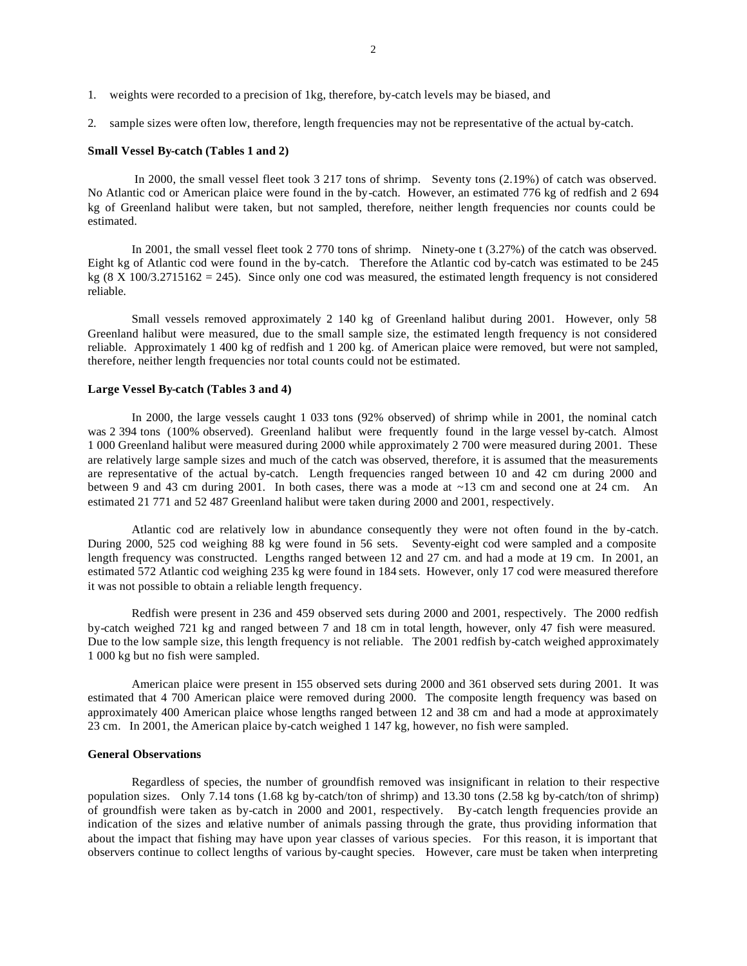- 1. weights were recorded to a precision of 1kg, therefore, by-catch levels may be biased, and
- 2. sample sizes were often low, therefore, length frequencies may not be representative of the actual by-catch.

#### **Small Vessel By-catch (Tables 1 and 2)**

In 2000, the small vessel fleet took 3 217 tons of shrimp. Seventy tons (2.19%) of catch was observed. No Atlantic cod or American plaice were found in the by-catch. However, an estimated 776 kg of redfish and 2 694 kg of Greenland halibut were taken, but not sampled, therefore, neither length frequencies nor counts could be estimated.

In 2001, the small vessel fleet took 2 770 tons of shrimp. Ninety-one t (3.27%) of the catch was observed. Eight kg of Atlantic cod were found in the by-catch. Therefore the Atlantic cod by-catch was estimated to be 245 kg  $(8 \text{ X } 100/3.2715162 = 245)$ . Since only one cod was measured, the estimated length frequency is not considered reliable.

Small vessels removed approximately 2 140 kg of Greenland halibut during 2001. However, only 58 Greenland halibut were measured, due to the small sample size, the estimated length frequency is not considered reliable. Approximately 1 400 kg of redfish and 1 200 kg. of American plaice were removed, but were not sampled, therefore, neither length frequencies nor total counts could not be estimated.

#### **Large Vessel By-catch (Tables 3 and 4)**

In 2000, the large vessels caught 1 033 tons (92% observed) of shrimp while in 2001, the nominal catch was 2 394 tons (100% observed). Greenland halibut were frequently found in the large vessel by-catch. Almost 1 000 Greenland halibut were measured during 2000 while approximately 2 700 were measured during 2001. These are relatively large sample sizes and much of the catch was observed, therefore, it is assumed that the measurements are representative of the actual by-catch. Length frequencies ranged between 10 and 42 cm during 2000 and between 9 and 43 cm during 2001. In both cases, there was a mode at ~13 cm and second one at 24 cm. An estimated 21 771 and 52 487 Greenland halibut were taken during 2000 and 2001, respectively.

Atlantic cod are relatively low in abundance consequently they were not often found in the by-catch. During 2000, 525 cod weighing 88 kg were found in 56 sets. Seventy-eight cod were sampled and a composite length frequency was constructed. Lengths ranged between 12 and 27 cm. and had a mode at 19 cm. In 2001, an estimated 572 Atlantic cod weighing 235 kg were found in 184 sets. However, only 17 cod were measured therefore it was not possible to obtain a reliable length frequency.

Redfish were present in 236 and 459 observed sets during 2000 and 2001, respectively. The 2000 redfish by-catch weighed 721 kg and ranged between 7 and 18 cm in total length, however, only 47 fish were measured. Due to the low sample size, this length frequency is not reliable. The 2001 redfish by-catch weighed approximately 1 000 kg but no fish were sampled.

American plaice were present in 155 observed sets during 2000 and 361 observed sets during 2001. It was estimated that 4 700 American plaice were removed during 2000. The composite length frequency was based on approximately 400 American plaice whose lengths ranged between 12 and 38 cm and had a mode at approximately 23 cm. In 2001, the American plaice by-catch weighed 1 147 kg, however, no fish were sampled.

### **General Observations**

Regardless of species, the number of groundfish removed was insignificant in relation to their respective population sizes. Only 7.14 tons (1.68 kg by-catch/ton of shrimp) and 13.30 tons (2.58 kg by-catch/ton of shrimp) of groundfish were taken as by-catch in 2000 and 2001, respectively. By-catch length frequencies provide an indication of the sizes and relative number of animals passing through the grate, thus providing information that about the impact that fishing may have upon year classes of various species. For this reason, it is important that observers continue to collect lengths of various by-caught species. However, care must be taken when interpreting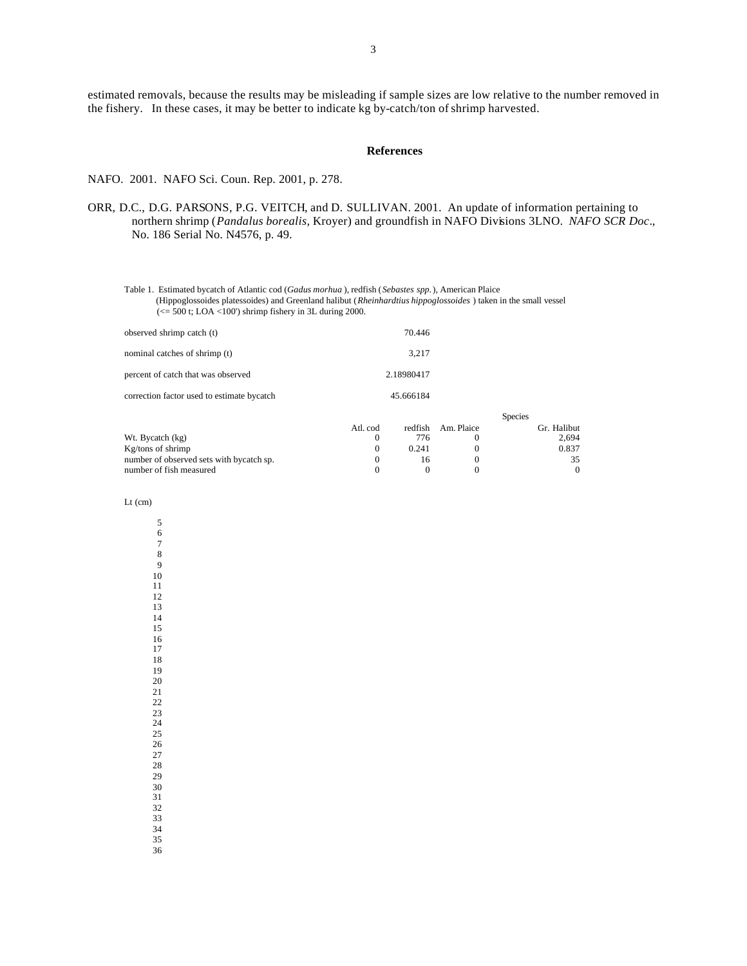estimated removals, because the results may be misleading if sample sizes are low relative to the number removed in the fishery. In these cases, it may be better to indicate kg by-catch/ton of shrimp harvested.

#### **References**

NAFO. 2001. NAFO Sci. Coun. Rep. 2001, p. 278.

- ORR, D.C., D.G. PARSONS, P.G. VEITCH, and D. SULLIVAN. 2001. An update of information pertaining to northern shrimp (*Pandalus borealis,* Kroyer) and groundfish in NAFO Divisions 3LNO. *NAFO SCR Doc*., No. 186 Serial No. N4576, p. 49.
	- Table 1. Estimated bycatch of Atlantic cod (*Gadus morhua* ), redfish (*Sebastes spp.*), American Plaice (Hippoglossoides platessoides) and Greenland halibut (*Rheinhardtius hippoglossoides* ) taken in the small vessel  $\ll$  = 500 t; LOA <100') shrimp fishery in 3L during 2000.

| observed shrimp catch (t)                  | 70.446     |  |
|--------------------------------------------|------------|--|
| nominal catches of shrimp (t)              | 3.217      |  |
| percent of catch that was observed         | 2.18980417 |  |
| correction factor used to estimate bycatch | 45.666184  |  |
|                                            |            |  |

|                                          |          |       | <b>Species</b>     |             |  |
|------------------------------------------|----------|-------|--------------------|-------------|--|
|                                          | Atl. cod |       | redfish Am. Plaice | Gr. Halibut |  |
| Wt. Bycatch (kg)                         |          | 776   |                    | 2.694       |  |
| $Kg/tons$ of shrimp                      |          | 0.241 |                    | 0.837       |  |
| number of observed sets with bycatch sp. |          | 16    |                    | 35          |  |
| number of fish measured                  |          |       |                    |             |  |

Lt (cm)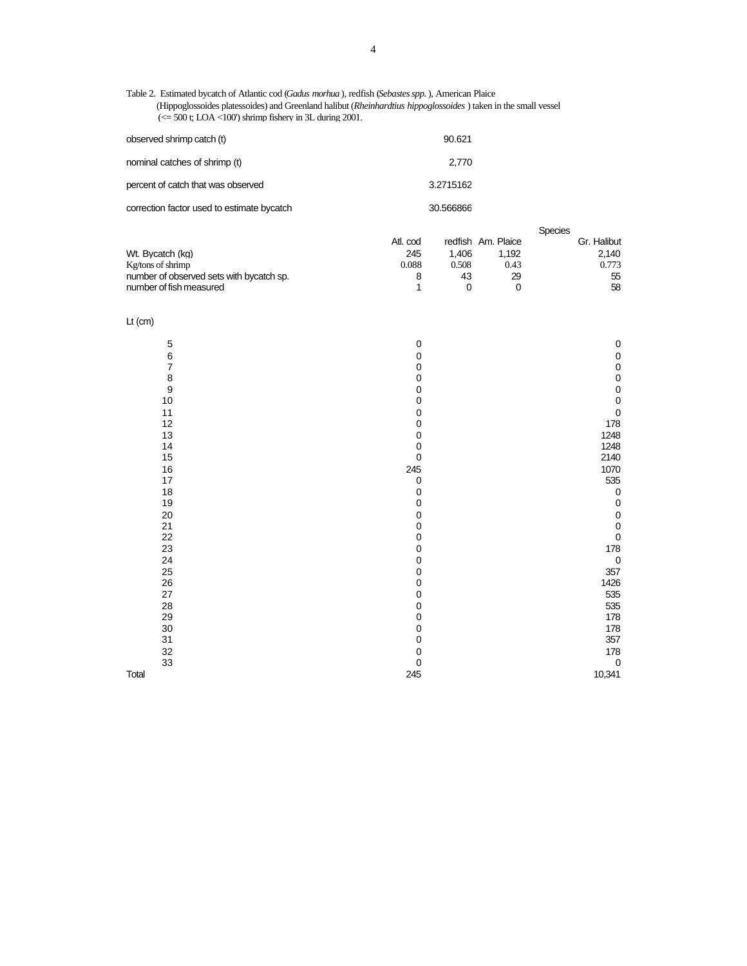Table 2. Estimated bycatch of Atlantic cod (*Gadus morhua* ), redfish (*Sebastes spp.*), American Plaice (Hippoglossoides platessoides) and Greenland halibut (*Rheinhardtius hippoglossoides* ) taken in the small vessel  $\approx$  = 500 t; LOA <100') shrimp fishery in 3L during 2001.

| observed shrimp catch (t)                  | 90.621    |
|--------------------------------------------|-----------|
| nominal catches of shrimp (t)              | 2,770     |
| percent of catch that was observed         | 3.2715162 |
| correction factor used to estimate bycatch | 30.566866 |

|                                          |          |       |                    | <b>Species</b> |
|------------------------------------------|----------|-------|--------------------|----------------|
|                                          | Atl. cod |       | redfish Am. Plaice | Gr. Halibut    |
| Wt. Bycatch (kg)                         | 245      | 1.406 | 1.192              | 2.140          |
| $Kg$ /tons of shrimp                     | 0.088    | 0.508 | 0.43               | 0.773          |
| number of observed sets with bycatch sp. |          | 43    | 29                 | 55             |
| number of fish measured                  |          |       |                    | 58             |

Lt (cm)

| 5                                           | $\mathbf 0$  | 0           |
|---------------------------------------------|--------------|-------------|
|                                             | 0            | 0           |
| $\begin{array}{c} 6 \\ 7 \end{array}$       | $\pmb{0}$    | 0           |
|                                             | 0            | 0           |
|                                             | 0            | 0           |
| $\begin{array}{c} 8 \\ 9 \\ 10 \end{array}$ | $\mathbf 0$  | 0           |
| 11                                          | 0            | $\mathbf 0$ |
| 12                                          | 0            | 178         |
| 13                                          | 0            | 1248        |
|                                             | 0            | 1248        |
| $14$<br>$15$                                | $\pmb{0}$    | 2140        |
| 16                                          | 245          | 1070        |
| 17                                          | $\pmb{0}$    | 535         |
| 18                                          | $\pmb{0}$    | $\mathbf 0$ |
| 19                                          | $\mathbf 0$  | 0           |
| 20                                          | $\mathbf 0$  | 0           |
| $\begin{array}{c} 21 \\ 22 \end{array}$     | 0            | 0           |
|                                             | $\mathbf 0$  | 0           |
| 23                                          | $\mathbf 0$  | 178         |
| 24                                          | 0            | $\pmb{0}$   |
| 25<br>26                                    | 0            | 357<br>1426 |
|                                             | 0            |             |
| 27                                          | 0            | 535         |
| 28                                          | 0            | 535         |
| 29                                          | 0            | 178         |
| 30                                          | 0            | 178         |
| 31                                          | 0            | 357         |
| 32                                          | $\pmb{0}$    | 178         |
| 33                                          | $\mathbf{0}$ | $\mathbf 0$ |
| Total                                       | 245          | 10,341      |
|                                             |              |             |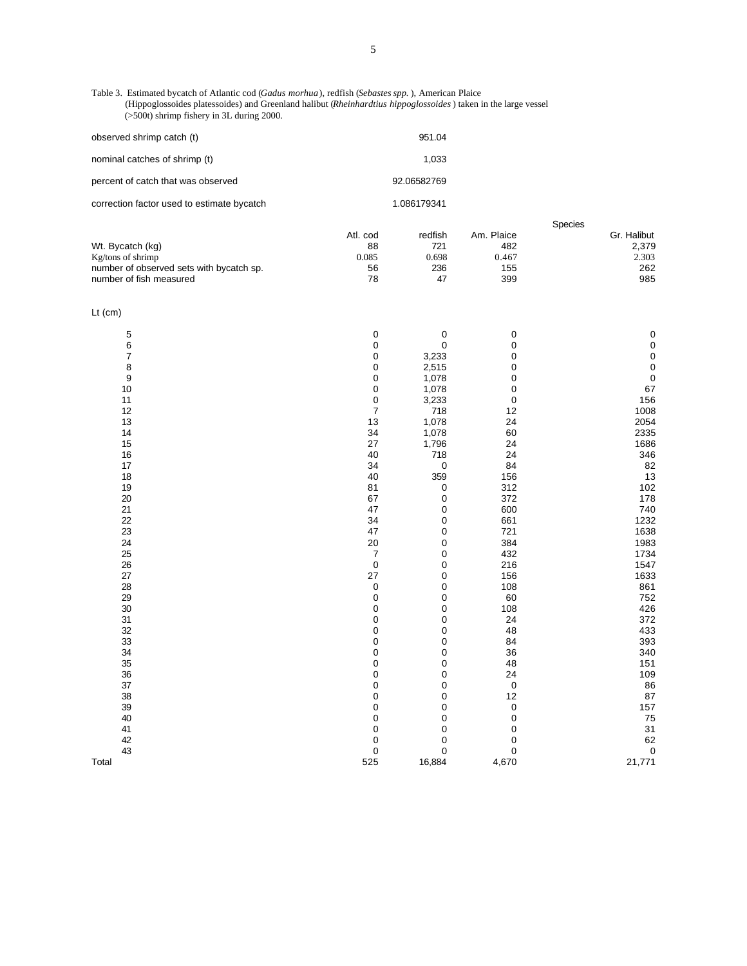Table 3. Estimated bycatch of Atlantic cod (*Gadus morhua*), redfish (*Sebastes spp.* ), American Plaice (Hippoglossoides platessoides) and Greenland halibut (*Rheinhardtius hippoglossoides* ) taken in the large vessel (>500t) shrimp fishery in 3L during 2000.

| observed shrimp catch (t)                  | 951.04      |
|--------------------------------------------|-------------|
| nominal catches of shrimp (t)              | 1.033       |
| percent of catch that was observed         | 92.06582769 |
| correction factor used to estimate bycatch | 1.086179341 |

|                                          |          | <b>Species</b> |            |             |
|------------------------------------------|----------|----------------|------------|-------------|
|                                          | Atl. cod | redfish        | Am. Plaice | Gr. Halibut |
| Wt. Bycatch (kg)                         | 88       | 721            | 482        | 2.379       |
| Kg/tons of shrimp                        | 0.085    | 0.698          | 0.467      | 2.303       |
| number of observed sets with bycatch sp. | 56       | 236            | 155        | 262         |
| number of fish measured                  | 78       | 47             | 399        | 985         |
|                                          |          |                |            |             |

| . .<br>. . |  |
|------------|--|
|            |  |

| Lt $(cm)$      |                  |             |                  |                                                |
|----------------|------------------|-------------|------------------|------------------------------------------------|
|                | 0                | $\pmb{0}$   | $\boldsymbol{0}$ |                                                |
| $\frac{5}{6}$  | $\pmb{0}$        | $\pmb{0}$   | $\mathbf 0$      | $\begin{matrix} 0 \\ 0 \\ 0 \\ 0 \end{matrix}$ |
| $\overline{7}$ | $\pmb{0}$        | 3,233       | $\pmb{0}$        |                                                |
| 8              | 0                | 2,515       | $\mathbf 0$      |                                                |
| 9              | 0                | 1,078       | $\mathbf 0$      | $\begin{array}{c} 0 \\ 67 \end{array}$         |
| 10             | $\mathbf 0$      | 1,078       | $\mathbf 0$      |                                                |
| 11             | $\pmb{0}$        | 3,233       | $\mathbf 0$      | 156                                            |
| 12             | $\boldsymbol{7}$ | 718         | 12               | 1008                                           |
| 13             | 13               | 1,078       | 24               | 2054                                           |
| 14             | 34               | 1,078       | 60               | 2335                                           |
| 15             | 27               | 1,796       | 24               | 1686                                           |
| 16             | 40               | 718         | 24               | 346                                            |
| $17\,$         | 34               | $\pmb{0}$   | 84               | 82                                             |
| 18             | 40               | 359         | 156              | $\begin{array}{c} 13 \\ 102 \end{array}$       |
| 19             | 81               | $\pmb{0}$   | 312              |                                                |
| 20             | 67               | $\pmb{0}$   | 372              | 178                                            |
| 21             | 47               | $\pmb{0}$   | 600              | 740                                            |
| 22             | 34               | 0           | 661              | 1232                                           |
| 23             | 47               | $\pmb{0}$   | 721              | 1638                                           |
| 24             | 20               | $\pmb{0}$   | 384              | 1983                                           |
| 25             | $\boldsymbol{7}$ | $\mathbf 0$ | 432              | 1734                                           |
| 26             | $\pmb{0}$        | 0           | 216              | 1547                                           |
| 27             | 27               | $\pmb{0}$   | 156              | 1633                                           |
| 28             | $\pmb{0}$        | $\pmb{0}$   | 108              | 861                                            |
| 29             | $\mathbf 0$      | $\mathbf 0$ | 60               | 752                                            |
| 30             | $\pmb{0}$        | $\mathbf 0$ | 108              | 426                                            |
| 31             | $\pmb{0}$        | $\pmb{0}$   | 24               | 372                                            |
| 32             | 0                | $\pmb{0}$   | 48               | 433                                            |
| 33             | $\pmb{0}$        | $\pmb{0}$   | 84               | 393                                            |
| 34             | $\pmb{0}$        | 0           | 36               | 340                                            |
| 35             | $\pmb{0}$        | 0           | 48               | 151                                            |
| 36             | $\pmb{0}$        | $\pmb{0}$   | 24               | 109                                            |
| 37             | $\mathbf 0$      | $\pmb{0}$   | $\pmb{0}$        | 86                                             |
| 38             | $\pmb{0}$        | $\mathbf 0$ | 12               | 87                                             |
| 39             | $\pmb{0}$        | 0           | $\mathbf 0$      | 157                                            |
| 40             | 0                | $\pmb{0}$   | $\mathbf 0$      | 75                                             |
| 41             | 0                | $\mathbf 0$ | $\mathbf 0$      | 31                                             |
| 42             | $\mathbf 0$      | $\pmb{0}$   | $\mathbf 0$      | 62                                             |
| 43             | $\mathbf 0$      | $\mathbf 0$ | $\mathbf 0$      | $\pmb{0}$                                      |
| Total          | 525              | 16,884      | 4,670            | 21,771                                         |